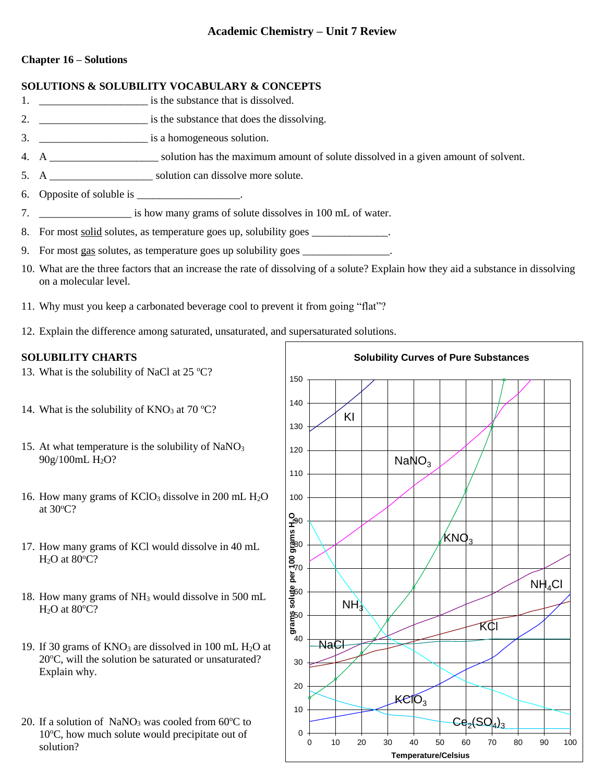# **Academic Chemistry – Unit 7 Review**

## **Chapter 16 – Solutions**

#### **SOLUTIONS & SOLUBILITY VOCABULARY & CONCEPTS**

- 1. \_\_\_\_\_\_\_\_\_\_\_\_\_\_\_\_\_\_\_\_ is the substance that is dissolved.
- 2. \_\_\_\_\_\_\_\_\_\_\_\_\_\_\_\_\_\_\_\_ is the substance that does the dissolving.
- 3. \_\_\_\_\_\_\_\_\_\_\_\_\_\_\_\_\_\_\_\_ is a homogeneous solution.
- 4. A \_\_\_\_\_\_\_\_\_\_\_\_\_\_\_\_\_\_\_\_ solution has the maximum amount of solute dissolved in a given amount of solvent.
- 5. A \_\_\_\_\_\_\_\_\_\_\_\_\_\_\_\_\_\_\_ solution can dissolve more solute.
- 6. Opposite of soluble is \_\_\_\_\_\_\_\_\_\_\_\_\_\_\_\_\_\_.
- 7. The is how many grams of solute dissolves in 100 mL of water.
- 8. For most <u>solid</u> solutes, as temperature goes up, solubility goes \_\_\_\_\_\_\_\_\_\_\_\_\_.
- 9. For most gas solutes, as temperature goes up solubility goes
- 10. What are the three factors that an increase the rate of dissolving of a solute? Explain how they aid a substance in dissolving on a molecular level.
- 11. Why must you keep a carbonated beverage cool to prevent it from going "flat"?
- 12. Explain the difference among saturated, unsaturated, and supersaturated solutions.

## **SOLUBILITY CHARTS**

- 13. What is the solubility of NaCl at  $25^{\circ}$ C?
- 14. What is the solubility of  $KNO_3$  at 70 °C?
- 15. At what temperature is the solubility of  $NaNO<sub>3</sub>$ 90g/100mL H<sub>2</sub>O?
- 16. How many grams of  $KClO<sub>3</sub>$  dissolve in 200 mL  $H<sub>2</sub>O$ at  $30^{\circ}$ C?
- 17. How many grams of KCl would dissolve in 40 mL  $H<sub>2</sub>O$  at 80 $°C$ ?
- 18. How many grams of NH<sup>3</sup> would dissolve in 500 mL  $H<sub>2</sub>O$  at 80 $°C$ ?
- 19. If 30 grams of  $KNO_3$  are dissolved in 100 mL  $H_2O$  at  $20^{\circ}$ C, will the solution be saturated or unsaturated? Explain why.
- 20. If a solution of NaNO<sub>3</sub> was cooled from  $60^{\circ}$ C to  $10^{\circ}$ C, how much solute would precipitate out of solution?

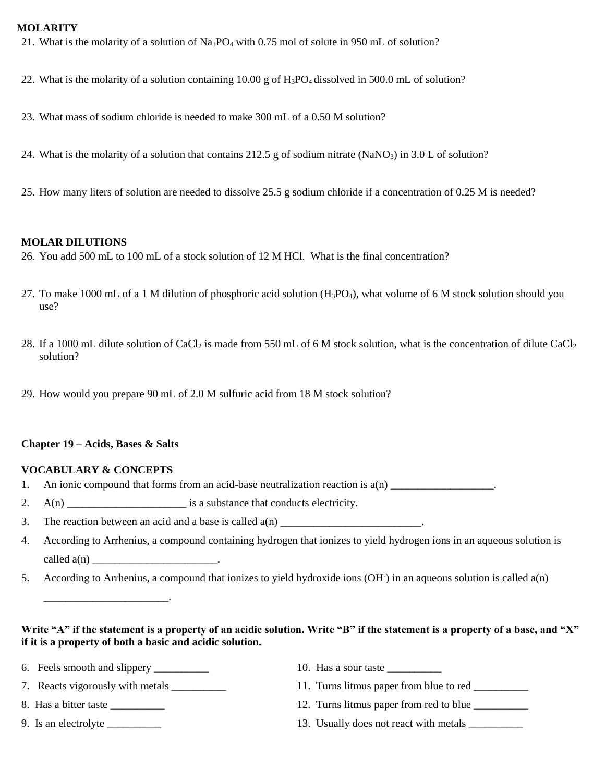#### **MOLARITY**

- 21. What is the molarity of a solution of Na3PO<sup>4</sup> with 0.75 mol of solute in 950 mL of solution?
- 22. What is the molarity of a solution containing  $10.00 \text{ g}$  of H<sub>3</sub>PO<sub>4</sub> dissolved in 500.0 mL of solution?
- 23. What mass of sodium chloride is needed to make 300 mL of a 0.50 M solution?
- 24. What is the molarity of a solution that contains 212.5 g of sodium nitrate (NaNO<sub>3</sub>) in 3.0 L of solution?
- 25. How many liters of solution are needed to dissolve 25.5 g sodium chloride if a concentration of 0.25 M is needed?

#### **MOLAR DILUTIONS**

26. You add 500 mL to 100 mL of a stock solution of 12 M HCl. What is the final concentration?

- 27. To make 1000 mL of a 1 M dilution of phosphoric acid solution  $(H_3PO_4)$ , what volume of 6 M stock solution should you use?
- 28. If a 1000 mL dilute solution of CaCl<sub>2</sub> is made from 550 mL of 6 M stock solution, what is the concentration of dilute CaCl<sub>2</sub> solution?
- 29. How would you prepare 90 mL of 2.0 M sulfuric acid from 18 M stock solution?

#### **Chapter 19 – Acids, Bases & Salts**

#### **VOCABULARY & CONCEPTS**

- 1. An ionic compound that forms from an acid-base neutralization reaction is  $a(n)$
- 2.  $A(n)$  is a substance that conducts electricity.
- 3. The reaction between an acid and a base is called  $a(n)$  \_\_\_\_\_\_\_\_\_\_\_\_\_\_\_\_\_\_\_\_\_\_.
- 4. According to Arrhenius, a compound containing hydrogen that ionizes to yield hydrogen ions in an aqueous solution is  $called a(n)$   $\qquad \qquad \ldots$
- 5. According to Arrhenius, a compound that ionizes to yield hydroxide ions (OH- ) in an aqueous solution is called a(n)

### **Write "A" if the statement is a property of an acidic solution. Write "B" if the statement is a property of a base, and "X" if it is a property of both a basic and acidic solution.**

6. Feels smooth and slippery \_\_\_\_\_\_\_\_\_\_\_\_\_\_\_\_ 10. Has a sour taste \_\_\_\_\_\_\_\_\_\_\_\_\_

\_\_\_\_\_\_\_\_\_\_\_\_\_\_\_\_\_\_\_\_\_\_\_.

- 7. Reacts vigorously with metals  $\qquad \qquad$  11. Turns litmus paper from blue to red
- 
- 
- 
- 
- 8. Has a bitter taste \_\_\_\_\_\_\_\_\_\_ 12. Turns litmus paper from red to blue \_\_\_\_\_\_\_\_\_\_
- 9. Is an electrolyte the contract with metals and electrolyte the contract with metals  $\frac{13.5 \text{ Usually does not react with metals}}{13.5 \text{ dy not read with the total}}$